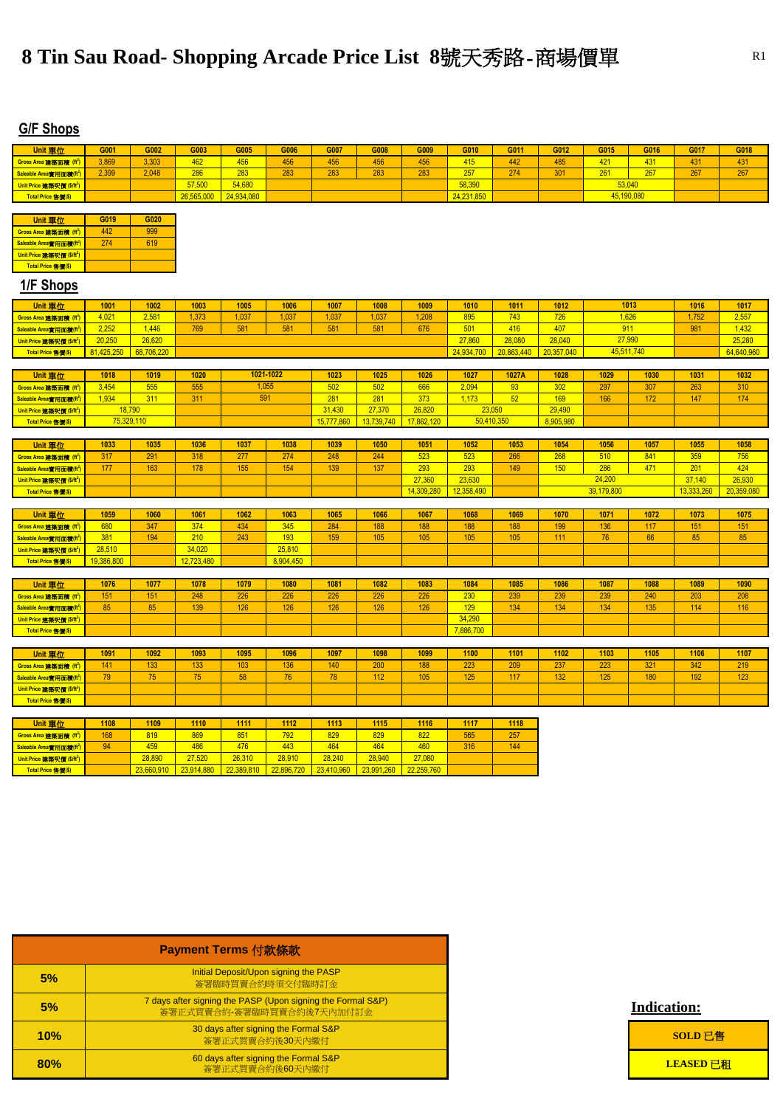| <b>Unit 單位</b>                                              | G001       | G002                 | G003                 | G005                 | G006                 | G007                 | G008                 | G009                 | G010       | G011       | G012       | G015       | G016       | G017       | G018       |
|-------------------------------------------------------------|------------|----------------------|----------------------|----------------------|----------------------|----------------------|----------------------|----------------------|------------|------------|------------|------------|------------|------------|------------|
| Gross Area 建築面積 (ft <sup>2</sup> )                          | 3,869      | 3,303                | 462                  | 456                  | 456                  | 456                  | 456                  | 456                  | 415        | 442        | 485        | 421        | 431        | 431        | 431        |
| Saleable Area實用面積(ft <sup>2</sup> )                         | 2,399      | 2,048                | 286                  | 283                  | 283                  | 283                  | 283                  | 283                  | 257        | 274        | 301        | 261        | 267        | 267        | 267        |
| Unit Price 建築呎價 (\$/ft <sup>2</sup> )                       |            |                      | 57,500               | 54,680               |                      |                      |                      |                      | 58,390     |            |            | 53,040     |            |            |            |
| Total Price 售價(\$)                                          |            |                      | 26,565,000           | 24,934,080           |                      |                      |                      |                      | 24,231,850 |            |            | 45,190,080 |            |            |            |
|                                                             |            |                      |                      |                      |                      |                      |                      |                      |            |            |            |            |            |            |            |
| <b>Unit 單位</b>                                              | G019       | G020                 |                      |                      |                      |                      |                      |                      |            |            |            |            |            |            |            |
| Gross Area 建築面積 (ft <sup>2</sup> )                          | 442        | 999                  |                      |                      |                      |                      |                      |                      |            |            |            |            |            |            |            |
| Saleable Area實用面積(ft <sup>2</sup> )                         | 274        | 619                  |                      |                      |                      |                      |                      |                      |            |            |            |            |            |            |            |
| Unit Price 建築呎價 (\$/ft <sup>2</sup> )                       |            |                      |                      |                      |                      |                      |                      |                      |            |            |            |            |            |            |            |
| Total Price 售價(\$)                                          |            |                      |                      |                      |                      |                      |                      |                      |            |            |            |            |            |            |            |
| 1/F Shops                                                   |            |                      |                      |                      |                      |                      |                      |                      |            |            |            |            |            |            |            |
| <b>Unit 單位</b>                                              | 1001       | 1002                 | 1003                 | 1005                 | 1006                 | 1007                 | 1008                 | 1009                 | 1010       | 1011       | 1012       |            | 1013       | 1016       | 1017       |
| Gross Area 建築面積 (ft <sup>2</sup> )                          | 4,021      | 2,581                | 1,373                | 1,037                | 1,037                | 1,037                | 1,037                | 1,208                | 895        | 743        | 726        | 1,626      |            | 1,752      | 2,557      |
| Saleable Area實用面積(ft <sup>2</sup> )                         | 2,252      | 1,446                | 769                  | 581                  | 581                  | 581                  | 581                  | 676                  | 501        | 416        | 407        |            | 911        | 981        | 1,432      |
| Unit Price 建築呎價 (\$/ft <sup>2</sup> )                       | 20,250     | 26,620               |                      |                      |                      |                      |                      |                      | 27,860     | 28,080     | 28,040     | 27,990     |            |            | 25,280     |
| Total Price 售價(\$)                                          | 81,425,250 | 68,706,220           |                      |                      |                      |                      |                      |                      | 24,934,700 | 20,863,440 | 20,357,040 |            | 45,511,740 |            | 64,640,960 |
|                                                             |            |                      |                      |                      |                      |                      |                      |                      |            |            |            |            |            |            |            |
| <b>Unit 單位</b>                                              | 1018       | 1019                 | 1020                 | 1021-1022            |                      | 1023                 | 1025                 | 1026                 | 1027       | 1027A      | 1028       | 1029       | 1030       | 1031       | 1032       |
| Gross Area 建築面積 (ft <sup>2</sup>                            | 3,454      | 555                  | 555                  | 1,055                |                      | 502                  | 502                  | 666                  | 2,094      | 93         | 302        | 297        | 307        | 263        | 310        |
| Saleable Area實用面積(ft <sup>2</sup> )                         | 1,934      | 311                  | 311                  | 591                  |                      | 281                  | 281                  | 373                  | 1,173      | 52         | 169        | 166        | 172        | 147        | 174        |
| Unit Price 建築呎價 (\$/ft <sup>2</sup> )                       | 18,790     |                      |                      |                      |                      | 31,430               | 27,370               | 26,820               | 23,050     |            | 29,490     |            |            |            |            |
| Total Price 售價(\$)                                          | 75,329,110 |                      |                      |                      |                      | 15,777,860           | 13,739,740           | 17,862,120           | 50,410,350 |            | 8,905,980  |            |            |            |            |
| Unit 單位                                                     | 1033       | 1035                 | 1036                 | 1037                 | 1038                 | 1039                 | 1050                 | 1051                 | 1052       | 1053       | 1054       | 1056       | 1057       | 1055       | 1058       |
| Gross Area 建築面積 (ft <sup>2</sup> )                          | 317        | 291                  | 318                  | 277                  | 274                  | 248                  | 244                  | 523                  | 523        | 266        | 268        | 510        | 841        | 359        | 756        |
| Saleable Area實用面積(ft <sup>2</sup> )                         | 177        | 163                  | 178                  | 155                  | 154                  | 139                  | 137                  | 293                  | 293        | 149        | 150        | 286        | 471        | 201        | 424        |
| Unit Price 建築呎價 (\$/ft <sup>2</sup> )                       |            |                      |                      |                      |                      |                      |                      | 27,360               | 23,630     |            |            | 24,200     |            | 37,140     | 26,930     |
|                                                             |            |                      |                      |                      |                      |                      |                      |                      |            |            |            |            |            |            |            |
|                                                             |            |                      |                      |                      |                      |                      |                      |                      |            |            |            |            |            |            |            |
| Total Price 售價(\$)                                          |            |                      |                      |                      |                      |                      |                      | 14,309,280           | 12,358,490 |            |            | 39,179,800 |            | 13,333,260 | 20,359,080 |
|                                                             |            | 1060                 | 1061                 | 1062                 | 1063                 | 1065                 | 1066                 | 1067                 | 1068       | 1069       | 1070       | 1071       | 1072       |            | 1075       |
| Unit 單位                                                     | 1059       | 347                  |                      |                      |                      |                      |                      |                      |            |            |            |            |            | 1073       |            |
| Gross Area 建築面積 (ft <sup>2</sup> )                          | 680<br>381 | 194                  | 374<br>210           | 434<br>243           | 345<br>193           | 284<br>159           | 188<br>105           | 188<br>105           | 188<br>105 | 188<br>105 | 199<br>111 | 136<br>76  | 117<br>66  | 151<br>85  | 151<br>85  |
| Saleable Area實用面積(ft <sup>2</sup> )                         | 28,510     |                      | 34,020               |                      | 25,810               |                      |                      |                      |            |            |            |            |            |            |            |
| Unit Price 建築呎價 (\$/ft <sup>2</sup> )<br>Total Price 售價(\$) | 19,386,800 |                      | 12,723,480           |                      | 8,904,450            |                      |                      |                      |            |            |            |            |            |            |            |
|                                                             |            |                      |                      |                      |                      |                      |                      |                      |            |            |            |            |            |            |            |
| <b>Unit 單位</b>                                              | 1076       | 1077                 | 1078                 | 1079                 | 1080                 | 1081                 | 1082                 | 1083                 | 1084       | 1085       | 1086       | 1087       | 1088       | 1089       | 1090       |
| Gross Area 建築面積 (ft <sup>2</sup> )                          | 151        | 151                  | 248                  | 226                  | 226                  | 226                  | 226                  | 226                  | 230        | 239        | 239        | 239        | 240        | 203        | 208        |
| Saleable Area實用面積(ft <sup>2</sup> )                         | 85         | 85                   | 139                  | 126                  | 126                  | 126                  | 126                  | 126                  | 129        | 134        | 134        | 134        | 135        | 114        | 116        |
| Unit Price 建築呎價 (\$/ft <sup>2</sup> )                       |            |                      |                      |                      |                      |                      |                      |                      | 34,290     |            |            |            |            |            |            |
| Total Price 售價(\$)                                          |            |                      |                      |                      |                      |                      |                      |                      | 7,886,700  |            |            |            |            |            |            |
|                                                             |            |                      |                      |                      |                      |                      |                      |                      |            |            |            |            |            |            |            |
| <b>Unit 單位</b>                                              | 1091       | 1092                 | 1093                 | 1095                 | 1096                 | 1097                 | 1098                 | 1099                 | 1100       | 1101       | 1102       | 1103       | 1105       | 1106       | 1107       |
| Gross Area 建築面積 (ft <sup>2</sup> )                          | 141        | 133                  | 133                  | 103                  | 136                  | 140                  | 200                  | 188                  | 223        | 209        | 237        | 223        | 321        | 342        | 219        |
| Saleable Area實用面積(ft <sup>2</sup> )                         | 79         | 75                   | 75                   | 58                   | 76                   | 78                   | 112                  | 105                  | 125        | 117        | 132        | 125        | 180        | 192        | 123        |
| Unit Price 建築呎價 (\$/ft <sup>2</sup> )                       |            |                      |                      |                      |                      |                      |                      |                      |            |            |            |            |            |            |            |
| Total Price 售價(\$)                                          |            |                      |                      |                      |                      |                      |                      |                      |            |            |            |            |            |            |            |
|                                                             |            |                      |                      |                      |                      |                      |                      |                      |            |            |            |            |            |            |            |
| <b>Unit 單位</b>                                              | 1108       | 1109                 | 1110                 | 1111                 | 1112                 | 1113                 | 1115                 | 1116                 | 1117       | 1118       |            |            |            |            |            |
| Gross Area 建築面積 (ft <sup>2</sup> )                          | 168<br>94  | 819                  | 869                  | 851                  | 792                  | 829                  | 829                  | 822                  | 565        | 257        |            |            |            |            |            |
| Saleable Area實用面積(ft <sup>2</sup> )                         |            | 459                  | 486                  | 476                  | 443                  | 464                  | 464                  | 460                  | 316        | 144        |            |            |            |            |            |
| Unit Price 建築呎價 (\$/ft <sup>2</sup> )<br>Total Price 售價(\$) |            | 28,890<br>23,660,910 | 27,520<br>23,914,880 | 26,310<br>22,389,810 | 28,910<br>22,896,720 | 28,240<br>23,410,960 | 28,940<br>23,991,260 | 27,080<br>22,259,760 |            |            |            |            |            |            |            |

### **Indication:**



|     | Payment Terms 付款條款                                                                       |
|-----|------------------------------------------------------------------------------------------|
| 5%  | Initial Deposit/Upon signing the PASP<br>簽署臨時買賣合約時須交付臨時訂金                                |
| 5%  | 7 days after signing the PASP (Upon signing the Formal S&P)<br>簽署正式買賣合約-簽署臨時買賣合約後7天內加付訂金 |
| 10% | 30 days after signing the Formal S&P<br>簽署正式買賣合約後30天內繳付                                  |
| 80% | 60 days after signing the Formal S&P<br>簽署正式買賣合約後60天內繳付                                  |

# **8 Tin Sau Road- Shopping Arcade Price List 8號天秀路-商場價單 R1 R1**

## **G/F Shops**